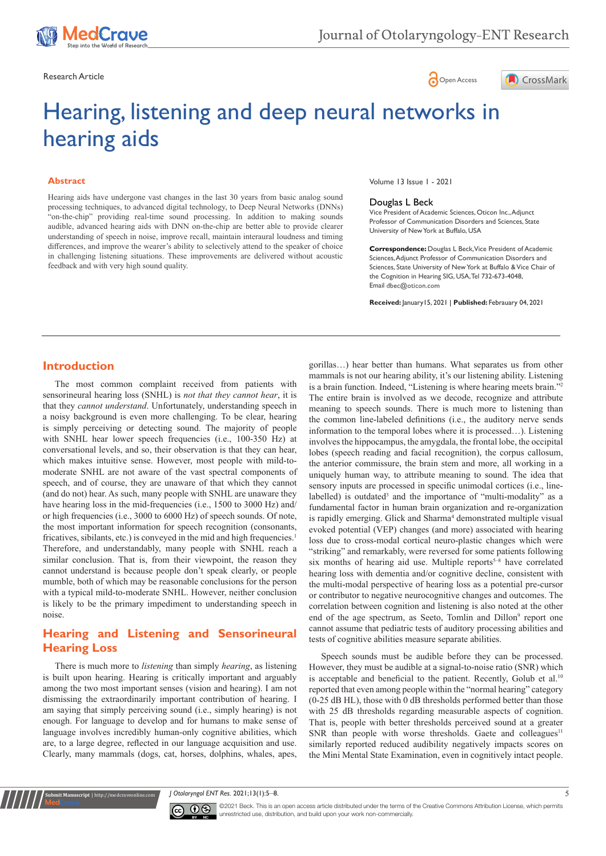

Research Article **Contracts** Contracts and Contracts Contracts Contracts Contracts Contracts Contracts Contracts Contracts Contracts Contracts Contracts Contracts Contracts Contracts Contracts Contracts Contracts Contracts





# Hearing, listening and deep neural networks in hearing aids

#### **Abstract**

Hearing aids have undergone vast changes in the last 30 years from basic analog sound processing techniques, to advanced digital technology, to Deep Neural Networks (DNNs) "on-the-chip" providing real-time sound processing. In addition to making sounds audible, advanced hearing aids with DNN on-the-chip are better able to provide clearer understanding of speech in noise, improve recall, maintain interaural loudness and timing differences, and improve the wearer's ability to selectively attend to the speaker of choice in challenging listening situations. These improvements are delivered without acoustic feedback and with very high sound quality.

Volume 13 Issue 1 - 2021

#### Douglas L Beck

Vice President of Academic Sciences, Oticon Inc., Adjunct Professor of Communication Disorders and Sciences, State University of New York at Buffalo, USA

**Correspondence:** Douglas L Beck, Vice President of Academic Sciences, Adjunct Professor of Communication Disorders and Sciences, State University of New York at Buffalo & Vice Chair of the Cognition in Hearing SIG, USA, Tel 732-673-4048, Email dbec@oticon.com

**Received:** January15, 2021 | **Published:** Febrauary 04, 2021

#### **Introduction**

The most common complaint received from patients with sensorineural hearing loss (SNHL) is *not that they cannot hear*, it is that they *cannot understand*. Unfortunately, understanding speech in a noisy background is even more challenging. To be clear, hearing is simply perceiving or detecting sound. The majority of people with SNHL hear lower speech frequencies (i.e., 100-350 Hz) at conversational levels, and so, their observation is that they can hear, which makes intuitive sense. However, most people with mild-tomoderate SNHL are not aware of the vast spectral components of speech, and of course, they are unaware of that which they cannot (and do not) hear. As such, many people with SNHL are unaware they have hearing loss in the mid-frequencies (i.e., 1500 to 3000 Hz) and/ or high frequencies (i.e., 3000 to 6000 Hz) of speech sounds. Of note, the most important information for speech recognition (consonants, fricatives, sibilants, etc.) is conveyed in the mid and high frequencies.<sup>1</sup> Therefore, and understandably, many people with SNHL reach a similar conclusion. That is, from their viewpoint, the reason they cannot understand is because people don't speak clearly, or people mumble, both of which may be reasonable conclusions for the person with a typical mild-to-moderate SNHL. However, neither conclusion is likely to be the primary impediment to understanding speech in noise.

# **Hearing and Listening and Sensorineural Hearing Loss**

There is much more to *listening* than simply *hearing*, as listening is built upon hearing. Hearing is critically important and arguably among the two most important senses (vision and hearing). I am not dismissing the extraordinarily important contribution of hearing. I am saying that simply perceiving sound (i.e., simply hearing) is not enough. For language to develop and for humans to make sense of language involves incredibly human-only cognitive abilities, which are, to a large degree, reflected in our language acquisition and use. Clearly, many mammals (dogs, cat, horses, dolphins, whales, apes,

**Krit Manuscript** | http://medcraveonline.c

gorillas…) hear better than humans. What separates us from other mammals is not our hearing ability, it's our listening ability. Listening is a brain function. Indeed, "Listening is where hearing meets brain."2 The entire brain is involved as we decode, recognize and attribute meaning to speech sounds. There is much more to listening than the common line-labeled definitions (i.e., the auditory nerve sends information to the temporal lobes where it is processed…). Listening involves the hippocampus, the amygdala, the frontal lobe, the occipital lobes (speech reading and facial recognition), the corpus callosum, the anterior commissure, the brain stem and more, all working in a uniquely human way, to attribute meaning to sound. The idea that sensory inputs are processed in specific unimodal cortices (i.e., linelabelled) is outdated<sup>3</sup> and the importance of "multi-modality" as a fundamental factor in human brain organization and re-organization is rapidly emerging. Glick and Sharma<sup>4</sup> demonstrated multiple visual evoked potential (VEP) changes (and more) associated with hearing loss due to cross-modal cortical neuro-plastic changes which were "striking" and remarkably, were reversed for some patients following six months of hearing aid use. Multiple reports<sup>5–8</sup> have correlated hearing loss with dementia and/or cognitive decline, consistent with the multi-modal perspective of hearing loss as a potential pre-cursor or contributor to negative neurocognitive changes and outcomes. The correlation between cognition and listening is also noted at the other end of the age spectrum, as Seeto, Tomlin and Dillon<sup>9</sup> report one cannot assume that pediatric tests of auditory processing abilities and tests of cognitive abilities measure separate abilities.

Speech sounds must be audible before they can be processed. However, they must be audible at a signal-to-noise ratio (SNR) which is acceptable and beneficial to the patient. Recently, Golub et al.<sup>10</sup> reported that even among people within the "normal hearing" category (0-25 dB HL), those with 0 dB thresholds performed better than those with 25 dB thresholds regarding measurable aspects of cognition. That is, people with better thresholds perceived sound at a greater SNR than people with worse thresholds. Gaete and colleagues<sup>11</sup> similarly reported reduced audibility negatively impacts scores on the Mini Mental State Examination, even in cognitively intact people.

*J Otolaryngol ENT Res.* 2021;13(1):5‒8. 5



©2021 Beck. This is an open access article distributed under the terms of the Creative Commons Attribution License, which permits unrestricted use, distribution, and build upon your work non-commercially.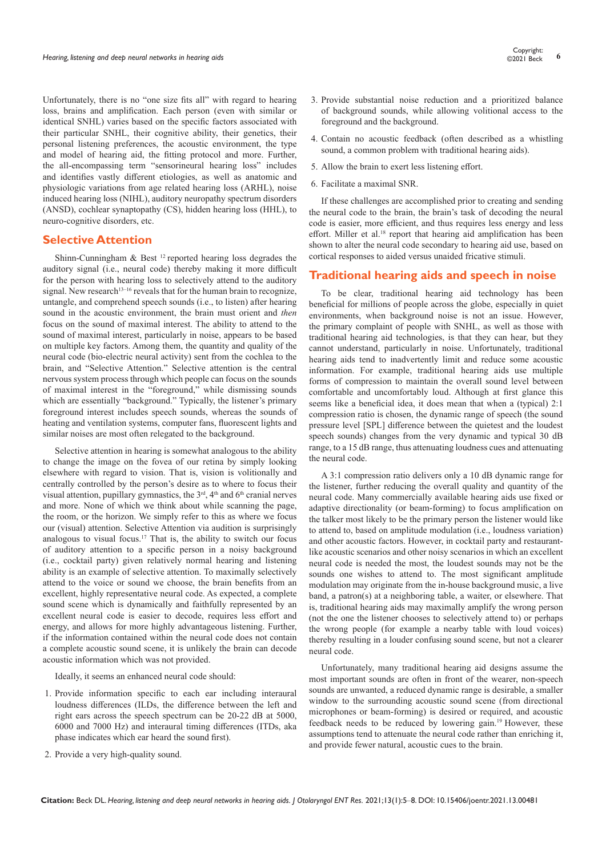Unfortunately, there is no "one size fits all" with regard to hearing loss, brains and amplification. Each person (even with similar or identical SNHL) varies based on the specific factors associated with their particular SNHL, their cognitive ability, their genetics, their personal listening preferences, the acoustic environment, the type and model of hearing aid, the fitting protocol and more. Further, the all-encompassing term "sensorineural hearing loss" includes and identifies vastly different etiologies, as well as anatomic and physiologic variations from age related hearing loss (ARHL), noise induced hearing loss (NIHL), auditory neuropathy spectrum disorders (ANSD), cochlear synaptopathy (CS), hidden hearing loss (HHL), to neuro-cognitive disorders, etc.

#### **Selective Attention**

Shinn-Cunningham & Best 12 reported hearing loss degrades the auditory signal (i.e., neural code) thereby making it more difficult for the person with hearing loss to selectively attend to the auditory signal. New research<sup>13–16</sup> reveals that for the human brain to recognize, untangle, and comprehend speech sounds (i.e., to listen) after hearing sound in the acoustic environment, the brain must orient and *then*  focus on the sound of maximal interest. The ability to attend to the sound of maximal interest, particularly in noise, appears to be based on multiple key factors. Among them, the quantity and quality of the neural code (bio-electric neural activity) sent from the cochlea to the brain, and "Selective Attention." Selective attention is the central nervous system process through which people can focus on the sounds of maximal interest in the "foreground," while dismissing sounds which are essentially "background." Typically, the listener's primary foreground interest includes speech sounds, whereas the sounds of heating and ventilation systems, computer fans, fluorescent lights and similar noises are most often relegated to the background.

Selective attention in hearing is somewhat analogous to the ability to change the image on the fovea of our retina by simply looking elsewhere with regard to vision. That is, vision is volitionally and centrally controlled by the person's desire as to where to focus their visual attention, pupillary gymnastics, the 3<sup>rd</sup>, 4<sup>th</sup> and 6<sup>th</sup> cranial nerves and more. None of which we think about while scanning the page, the room, or the horizon. We simply refer to this as where we focus our (visual) attention. Selective Attention via audition is surprisingly analogous to visual focus.17 That is, the ability to switch our focus of auditory attention to a specific person in a noisy background (i.e., cocktail party) given relatively normal hearing and listening ability is an example of selective attention. To maximally selectively attend to the voice or sound we choose, the brain benefits from an excellent, highly representative neural code. As expected, a complete sound scene which is dynamically and faithfully represented by an excellent neural code is easier to decode, requires less effort and energy, and allows for more highly advantageous listening. Further, if the information contained within the neural code does not contain a complete acoustic sound scene, it is unlikely the brain can decode acoustic information which was not provided.

Ideally, it seems an enhanced neural code should:

- 1. Provide information specific to each ear including interaural loudness differences (ILDs, the difference between the left and right ears across the speech spectrum can be 20-22 dB at 5000, 6000 and 7000 Hz) and interaural timing differences (ITDs, aka phase indicates which ear heard the sound first).
- 2. Provide a very high-quality sound.
- 3. Provide substantial noise reduction and a prioritized balance of background sounds, while allowing volitional access to the foreground and the background.
- 4. Contain no acoustic feedback (often described as a whistling sound, a common problem with traditional hearing aids).
- 5. Allow the brain to exert less listening effort.
- 6. Facilitate a maximal SNR.

If these challenges are accomplished prior to creating and sending the neural code to the brain, the brain's task of decoding the neural code is easier, more efficient, and thus requires less energy and less effort. Miller et al.<sup>18</sup> report that hearing aid amplification has been shown to alter the neural code secondary to hearing aid use, based on cortical responses to aided versus unaided fricative stimuli.

#### **Traditional hearing aids and speech in noise**

To be clear, traditional hearing aid technology has been beneficial for millions of people across the globe, especially in quiet environments, when background noise is not an issue. However, the primary complaint of people with SNHL, as well as those with traditional hearing aid technologies, is that they can hear, but they cannot understand, particularly in noise. Unfortunately, traditional hearing aids tend to inadvertently limit and reduce some acoustic information. For example, traditional hearing aids use multiple forms of compression to maintain the overall sound level between comfortable and uncomfortably loud. Although at first glance this seems like a beneficial idea, it does mean that when a (typical) 2:1 compression ratio is chosen, the dynamic range of speech (the sound pressure level [SPL] difference between the quietest and the loudest speech sounds) changes from the very dynamic and typical 30 dB range, to a 15 dB range, thus attenuating loudness cues and attenuating the neural code.

A 3:1 compression ratio delivers only a 10 dB dynamic range for the listener, further reducing the overall quality and quantity of the neural code. Many commercially available hearing aids use fixed or adaptive directionality (or beam-forming) to focus amplification on the talker most likely to be the primary person the listener would like to attend to, based on amplitude modulation (i.e., loudness variation) and other acoustic factors. However, in cocktail party and restaurantlike acoustic scenarios and other noisy scenarios in which an excellent neural code is needed the most, the loudest sounds may not be the sounds one wishes to attend to. The most significant amplitude modulation may originate from the in-house background music, a live band, a patron(s) at a neighboring table, a waiter, or elsewhere. That is, traditional hearing aids may maximally amplify the wrong person (not the one the listener chooses to selectively attend to) or perhaps the wrong people (for example a nearby table with loud voices) thereby resulting in a louder confusing sound scene, but not a clearer neural code.

Unfortunately, many traditional hearing aid designs assume the most important sounds are often in front of the wearer, non-speech sounds are unwanted, a reduced dynamic range is desirable, a smaller window to the surrounding acoustic sound scene (from directional microphones or beam-forming) is desired or required, and acoustic feedback needs to be reduced by lowering gain.19 However, these assumptions tend to attenuate the neural code rather than enriching it, and provide fewer natural, acoustic cues to the brain.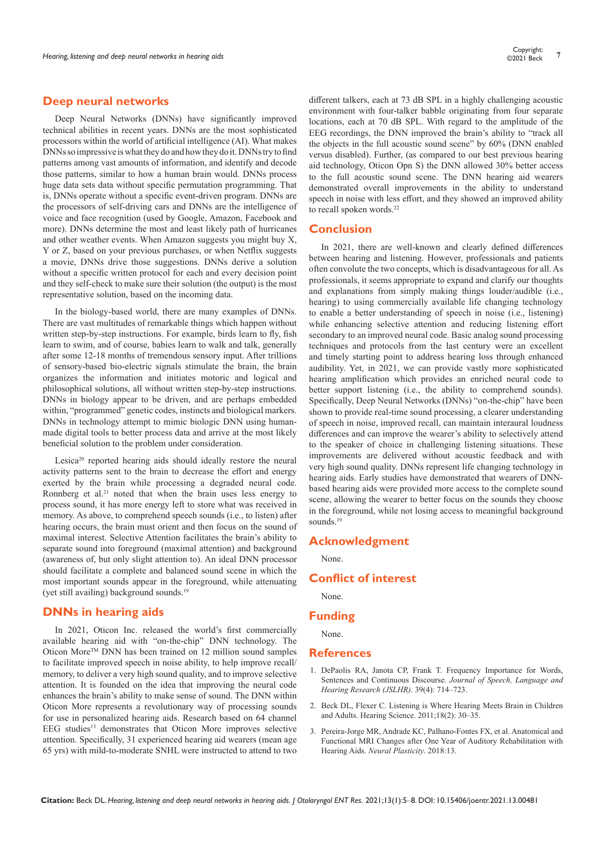#### **Deep neural networks**

Deep Neural Networks (DNNs) have significantly improved technical abilities in recent years. DNNs are the most sophisticated processors within the world of artificial intelligence (AI). What makes DNNs so impressive is what they do and how they do it. DNNs try to find patterns among vast amounts of information, and identify and decode those patterns, similar to how a human brain would. DNNs process huge data sets data without specific permutation programming. That is, DNNs operate without a specific event-driven program. DNNs are the processors of self-driving cars and DNNs are the intelligence of voice and face recognition (used by Google, Amazon, Facebook and more). DNNs determine the most and least likely path of hurricanes and other weather events. When Amazon suggests you might buy X, Y or Z, based on your previous purchases, or when Netflix suggests a movie, DNNs drive those suggestions. DNNs derive a solution without a specific written protocol for each and every decision point and they self-check to make sure their solution (the output) is the most representative solution, based on the incoming data.

In the biology-based world, there are many examples of DNNs. There are vast multitudes of remarkable things which happen without written step-by-step instructions. For example, birds learn to fly, fish learn to swim, and of course, babies learn to walk and talk, generally after some 12-18 months of tremendous sensory input. After trillions of sensory-based bio-electric signals stimulate the brain, the brain organizes the information and initiates motoric and logical and philosophical solutions, all without written step-by-step instructions. DNNs in biology appear to be driven, and are perhaps embedded within, "programmed" genetic codes, instincts and biological markers. DNNs in technology attempt to mimic biologic DNN using humanmade digital tools to better process data and arrive at the most likely beneficial solution to the problem under consideration.

Lesica<sup>20</sup> reported hearing aids should ideally restore the neural activity patterns sent to the brain to decrease the effort and energy exerted by the brain while processing a degraded neural code. Ronnberg et al.<sup>21</sup> noted that when the brain uses less energy to process sound, it has more energy left to store what was received in memory. As above, to comprehend speech sounds (i.e., to listen) after hearing occurs, the brain must orient and then focus on the sound of maximal interest. Selective Attention facilitates the brain's ability to separate sound into foreground (maximal attention) and background (awareness of, but only slight attention to). An ideal DNN processor should facilitate a complete and balanced sound scene in which the most important sounds appear in the foreground, while attenuating (yet still availing) background sounds.19

## **DNNs in hearing aids**

In 2021, Oticon Inc. released the world's first commercially available hearing aid with "on-the-chip" DNN technology. The Oticon MoreTM DNN has been trained on 12 million sound samples to facilitate improved speech in noise ability, to help improve recall/ memory, to deliver a very high sound quality, and to improve selective attention. It is founded on the idea that improving the neural code enhances the brain's ability to make sense of sound. The DNN within Oticon More represents a revolutionary way of processing sounds for use in personalized hearing aids. Research based on 64 channel EEG studies<sup>13</sup> demonstrates that Oticon More improves selective attention. Specifically, 31 experienced hearing aid wearers (mean age 65 yrs) with mild-to-moderate SNHL were instructed to attend to two

different talkers, each at 73 dB SPL in a highly challenging acoustic environment with four-talker babble originating from four separate locations, each at 70 dB SPL. With regard to the amplitude of the EEG recordings, the DNN improved the brain's ability to "track all the objects in the full acoustic sound scene" by 60% (DNN enabled versus disabled). Further, (as compared to our best previous hearing aid technology, Oticon Opn S) the DNN allowed 30% better access to the full acoustic sound scene. The DNN hearing aid wearers demonstrated overall improvements in the ability to understand speech in noise with less effort, and they showed an improved ability to recall spoken words.<sup>22</sup>

#### **Conclusion**

In 2021, there are well-known and clearly defined differences between hearing and listening. However, professionals and patients often convolute the two concepts, which is disadvantageous for all. As professionals, it seems appropriate to expand and clarify our thoughts and explanations from simply making things louder/audible (i.e., hearing) to using commercially available life changing technology to enable a better understanding of speech in noise (i.e., listening) while enhancing selective attention and reducing listening effort secondary to an improved neural code. Basic analog sound processing techniques and protocols from the last century were an excellent and timely starting point to address hearing loss through enhanced audibility. Yet, in 2021, we can provide vastly more sophisticated hearing amplification which provides an enriched neural code to better support listening (i.e., the ability to comprehend sounds). Specifically, Deep Neural Networks (DNNs) "on-the-chip" have been shown to provide real-time sound processing, a clearer understanding of speech in noise, improved recall, can maintain interaural loudness differences and can improve the wearer's ability to selectively attend to the speaker of choice in challenging listening situations. These improvements are delivered without acoustic feedback and with very high sound quality. DNNs represent life changing technology in hearing aids. Early studies have demonstrated that wearers of DNNbased hearing aids were provided more access to the complete sound scene, allowing the wearer to better focus on the sounds they choose in the foreground, while not losing access to meaningful background sounds.<sup>19</sup>

#### **Acknowledgment**

None.

## **Conflict of interest**

None.

#### **Funding**

None.

#### **References**

- 1. [DePaolis RA, Janota CP, Frank T. Frequency Importance for Words,](https://pubs.asha.org/doi/10.1044/jshr.3904.714)  [Sentences and Continuous Discourse.](https://pubs.asha.org/doi/10.1044/jshr.3904.714) *Journal of Speech, Language and [Hearing Research \(JSLHR\)](https://pubs.asha.org/doi/10.1044/jshr.3904.714)*. 39(4): 714–723.
- 2. [Beck DL, Flexer C. Listening is Where Hearing Meets Brain in Children](http://ihsconvention.org/wp-content/uploads/2017/09/Cognition-1-listening-is-where.pdf)  [and Adults. Hearing Science. 2011;18\(2\): 30–35.](http://ihsconvention.org/wp-content/uploads/2017/09/Cognition-1-listening-is-where.pdf)
- 3. [Pereira-Jorge MR, Andrade KC, Palhano-Fontes FX, et al. Anatomical and](https://www.hindawi.com/journals/np/2018/9303674/)  [Functional MRI Changes after One Year of Auditory Rehabilitation with](https://www.hindawi.com/journals/np/2018/9303674/)  Hearing Aids. *[Neural Plasticity](https://www.hindawi.com/journals/np/2018/9303674/)*. 2018:13.